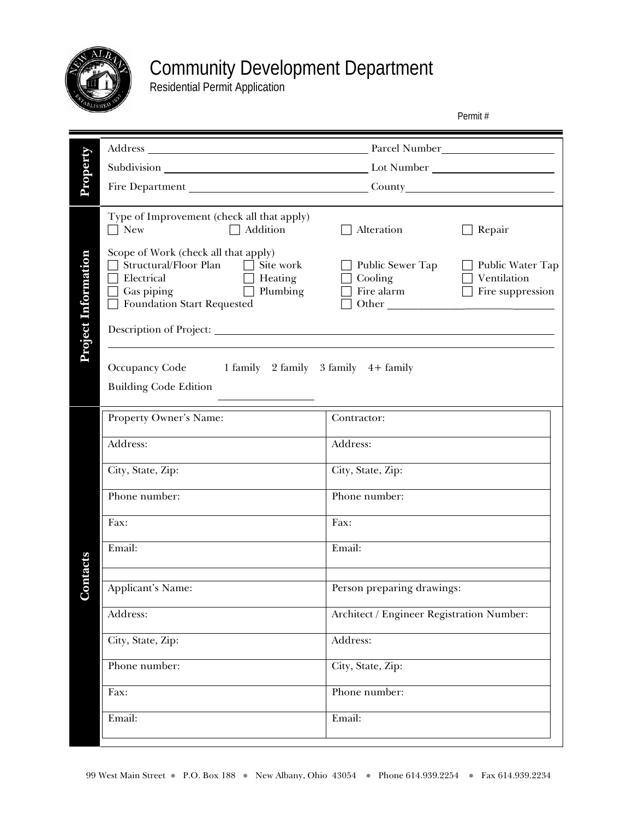

Residential Permit Application

|                     |                                                                                                                                                                           |                                           | Permit#                                                    |  |
|---------------------|---------------------------------------------------------------------------------------------------------------------------------------------------------------------------|-------------------------------------------|------------------------------------------------------------|--|
|                     |                                                                                                                                                                           |                                           |                                                            |  |
| roperty             |                                                                                                                                                                           |                                           |                                                            |  |
|                     |                                                                                                                                                                           |                                           |                                                            |  |
|                     | Type of Improvement (check all that apply)<br>$\Box$ Addition<br><b>New</b>                                                                                               | Alteration                                | ] Repair                                                   |  |
| Project Information | Scope of Work (check all that apply)<br>Structural/Floor Plan<br>$\Box$ Site work<br>Electrical<br>Heating<br>Plumbing<br>Gas piping<br><b>Foundation Start Requested</b> | Public Sewer Tap<br>Cooling<br>Fire alarm | $\Box$ Public Water Tap<br>Ventilation<br>Fire suppression |  |
|                     | Description of Project: New York 1989                                                                                                                                     |                                           |                                                            |  |
|                     | Occupancy Code 1 family 2 family 3 family 4+ family<br><b>Building Code Edition</b>                                                                                       |                                           |                                                            |  |
|                     | Property Owner's Name:                                                                                                                                                    | Contractor:                               |                                                            |  |
|                     | Address:                                                                                                                                                                  | Address:                                  |                                                            |  |
|                     | City, State, Zip:                                                                                                                                                         | City, State, Zip:                         |                                                            |  |
|                     | Phone number:                                                                                                                                                             | Phone number:                             |                                                            |  |
|                     | Fax:                                                                                                                                                                      | Fax:                                      |                                                            |  |
| ರ                   | Email:                                                                                                                                                                    | Email:                                    |                                                            |  |
| Conta               | Applicant's Name:                                                                                                                                                         | Person preparing drawings:                |                                                            |  |
|                     | Address:                                                                                                                                                                  | Architect / Engineer Registration Number: |                                                            |  |
|                     | City, State, Zip:                                                                                                                                                         | Address:                                  |                                                            |  |
|                     | Phone number:                                                                                                                                                             | City, State, Zip:                         |                                                            |  |
|                     | Fax:                                                                                                                                                                      | Phone number:                             |                                                            |  |
|                     | Email:                                                                                                                                                                    | Email:                                    |                                                            |  |
|                     |                                                                                                                                                                           |                                           |                                                            |  |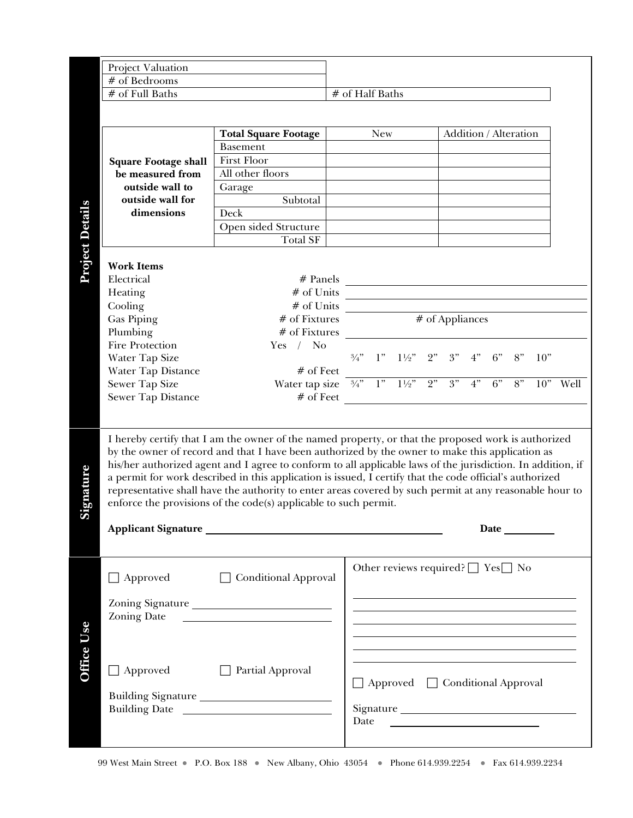|                        | Project Valuation                                                                                                                                                                                                                                                                                                                                                                                                                                                                                                                                                                                                                                                                                                                   |                                                                                                                                                      |                                                                                                      |  |  |
|------------------------|-------------------------------------------------------------------------------------------------------------------------------------------------------------------------------------------------------------------------------------------------------------------------------------------------------------------------------------------------------------------------------------------------------------------------------------------------------------------------------------------------------------------------------------------------------------------------------------------------------------------------------------------------------------------------------------------------------------------------------------|------------------------------------------------------------------------------------------------------------------------------------------------------|------------------------------------------------------------------------------------------------------|--|--|
|                        | # of Bedrooms                                                                                                                                                                                                                                                                                                                                                                                                                                                                                                                                                                                                                                                                                                                       |                                                                                                                                                      |                                                                                                      |  |  |
|                        | # of Full Baths                                                                                                                                                                                                                                                                                                                                                                                                                                                                                                                                                                                                                                                                                                                     |                                                                                                                                                      | # of Half Baths                                                                                      |  |  |
|                        |                                                                                                                                                                                                                                                                                                                                                                                                                                                                                                                                                                                                                                                                                                                                     |                                                                                                                                                      |                                                                                                      |  |  |
|                        |                                                                                                                                                                                                                                                                                                                                                                                                                                                                                                                                                                                                                                                                                                                                     | <b>Total Square Footage</b>                                                                                                                          | Addition / Alteration<br><b>New</b>                                                                  |  |  |
|                        |                                                                                                                                                                                                                                                                                                                                                                                                                                                                                                                                                                                                                                                                                                                                     | <b>Basement</b>                                                                                                                                      |                                                                                                      |  |  |
|                        | <b>Square Footage shall</b>                                                                                                                                                                                                                                                                                                                                                                                                                                                                                                                                                                                                                                                                                                         | <b>First Floor</b>                                                                                                                                   |                                                                                                      |  |  |
|                        | be measured from                                                                                                                                                                                                                                                                                                                                                                                                                                                                                                                                                                                                                                                                                                                    | All other floors                                                                                                                                     |                                                                                                      |  |  |
|                        | outside wall to                                                                                                                                                                                                                                                                                                                                                                                                                                                                                                                                                                                                                                                                                                                     | Garage                                                                                                                                               |                                                                                                      |  |  |
|                        | outside wall for                                                                                                                                                                                                                                                                                                                                                                                                                                                                                                                                                                                                                                                                                                                    | Subtotal                                                                                                                                             |                                                                                                      |  |  |
|                        | dimensions                                                                                                                                                                                                                                                                                                                                                                                                                                                                                                                                                                                                                                                                                                                          | Deck                                                                                                                                                 |                                                                                                      |  |  |
|                        |                                                                                                                                                                                                                                                                                                                                                                                                                                                                                                                                                                                                                                                                                                                                     | Open sided Structure                                                                                                                                 |                                                                                                      |  |  |
|                        |                                                                                                                                                                                                                                                                                                                                                                                                                                                                                                                                                                                                                                                                                                                                     | <b>Total SF</b>                                                                                                                                      |                                                                                                      |  |  |
| <b>Project Details</b> | <b>Work Items</b>                                                                                                                                                                                                                                                                                                                                                                                                                                                                                                                                                                                                                                                                                                                   |                                                                                                                                                      |                                                                                                      |  |  |
|                        | Electrical                                                                                                                                                                                                                                                                                                                                                                                                                                                                                                                                                                                                                                                                                                                          | # Panels                                                                                                                                             |                                                                                                      |  |  |
|                        | Heating                                                                                                                                                                                                                                                                                                                                                                                                                                                                                                                                                                                                                                                                                                                             | # of Units                                                                                                                                           |                                                                                                      |  |  |
|                        | Cooling                                                                                                                                                                                                                                                                                                                                                                                                                                                                                                                                                                                                                                                                                                                             | # of Units                                                                                                                                           |                                                                                                      |  |  |
|                        | Gas Piping                                                                                                                                                                                                                                                                                                                                                                                                                                                                                                                                                                                                                                                                                                                          | # of Fixtures                                                                                                                                        | # of Appliances                                                                                      |  |  |
|                        | Plumbing<br>Fire Protection                                                                                                                                                                                                                                                                                                                                                                                                                                                                                                                                                                                                                                                                                                         | # of Fixtures<br>Yes $/$ No                                                                                                                          |                                                                                                      |  |  |
|                        | Water Tap Size                                                                                                                                                                                                                                                                                                                                                                                                                                                                                                                                                                                                                                                                                                                      |                                                                                                                                                      | 1"<br>3"<br>3/4"<br>$1\frac{1}{2}$<br>2"<br>8"<br>6"<br>10"                                          |  |  |
|                        | Water Tap Distance                                                                                                                                                                                                                                                                                                                                                                                                                                                                                                                                                                                                                                                                                                                  | $#$ of Feet                                                                                                                                          |                                                                                                      |  |  |
|                        | <b>Sewer Tap Size</b>                                                                                                                                                                                                                                                                                                                                                                                                                                                                                                                                                                                                                                                                                                               | Water tap size                                                                                                                                       | $1\frac{1}{2}$ "<br>3"<br>2"<br>6"<br>8"<br>$\frac{3}{4}$ "<br>1"<br>4"<br>10" Well                  |  |  |
|                        | <b>Sewer Tap Distance</b>                                                                                                                                                                                                                                                                                                                                                                                                                                                                                                                                                                                                                                                                                                           | # of Feet                                                                                                                                            |                                                                                                      |  |  |
|                        |                                                                                                                                                                                                                                                                                                                                                                                                                                                                                                                                                                                                                                                                                                                                     |                                                                                                                                                      |                                                                                                      |  |  |
| gnature<br>5           | I hereby certify that I am the owner of the named property, or that the proposed work is authorized<br>by the owner of record and that I have been authorized by the owner to make this application as<br>his/her authorized agent and I agree to conform to all applicable laws of the jurisdiction. In addition, if<br>a permit for work described in this application is issued, I certify that the code official's authorized<br>representative shall have the authority to enter areas covered by such permit at any reasonable hour to<br>enforce the provisions of the code(s) applicable to such permit.<br>Applicant Signature 1996 and 1997 and 1997 and 1998 and 1997 and 1998 and 1998 and 1998 and 1998 and 1998 and 1 |                                                                                                                                                      |                                                                                                      |  |  |
| Office Use             | $\Box$ Approved<br>Zoning Date                                                                                                                                                                                                                                                                                                                                                                                                                                                                                                                                                                                                                                                                                                      | $\Box$ Conditional Approval<br><u> 1989 - Johann Harry Harry Harry Harry Harry Harry Harry Harry Harry Harry Harry Harry Harry Harry Harry Harry</u> | Other reviews required? $\Box$ Yes $\Box$ No                                                         |  |  |
|                        | $\Box$ Approved                                                                                                                                                                                                                                                                                                                                                                                                                                                                                                                                                                                                                                                                                                                     | Partial Approval<br>Building Signature                                                                                                               | $\Box$ Approved $\Box$ Conditional Approval<br>Date<br><u> 1989 - Andrea Andrew Maria (h. 1989).</u> |  |  |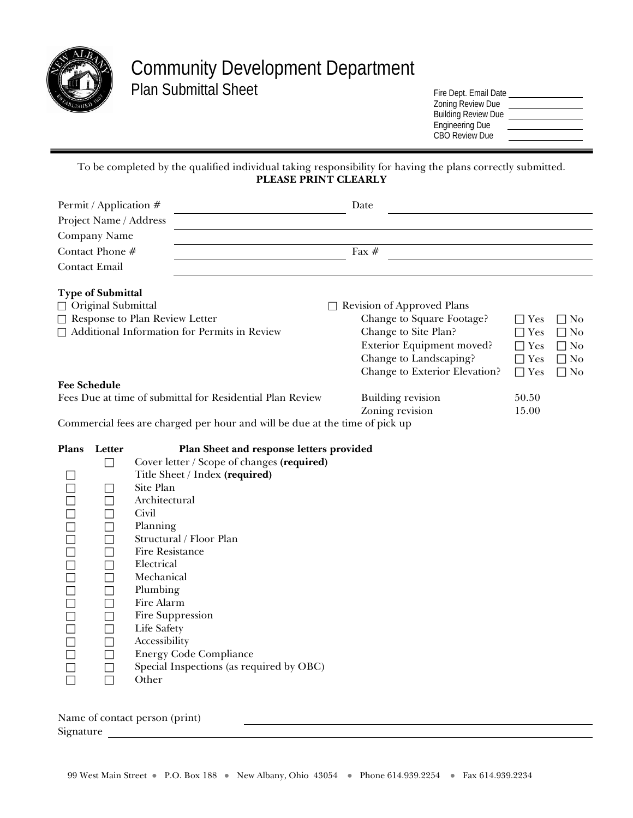

Plan Submittal Sheet

| Fire Dept. Email Date      |  |
|----------------------------|--|
| Zoning Review Due          |  |
| <b>Building Review Due</b> |  |
| <b>Engineering Due</b>     |  |
| <b>CBO Review Due</b>      |  |
|                            |  |

### To be completed by the qualified individual taking responsibility for having the plans correctly submitted. **PLEASE PRINT CLEARLY**

| Permit / Application # |                                                       |                                                                             | Date                                                    |            |           |
|------------------------|-------------------------------------------------------|-----------------------------------------------------------------------------|---------------------------------------------------------|------------|-----------|
|                        | Project Name / Address                                |                                                                             |                                                         |            |           |
|                        | Company Name                                          |                                                                             |                                                         |            |           |
|                        | Contact Phone #                                       |                                                                             | Fax $#$                                                 |            |           |
| <b>Contact Email</b>   |                                                       |                                                                             |                                                         |            |           |
|                        |                                                       |                                                                             |                                                         |            |           |
|                        | <b>Type of Submittal</b><br>$\Box$ Original Submittal |                                                                             |                                                         |            |           |
|                        |                                                       | Response to Plan Review Letter                                              | Revision of Approved Plans<br>Change to Square Footage? | $\Box$ Yes | $\Box$ No |
|                        |                                                       | □ Additional Information for Permits in Review                              | Change to Site Plan?                                    | $\Box$ Yes | $\Box$ No |
|                        |                                                       |                                                                             | <b>Exterior Equipment moved?</b>                        | $\Box$ Yes | $\Box$ No |
|                        |                                                       |                                                                             | Change to Landscaping?                                  | $\Box$ Yes | $\Box$ No |
|                        |                                                       |                                                                             | Change to Exterior Elevation?                           | $\Box$ Yes | $\Box$ No |
| <b>Fee Schedule</b>    |                                                       |                                                                             |                                                         |            |           |
|                        |                                                       | Fees Due at time of submittal for Residential Plan Review                   | <b>Building revision</b>                                | 50.50      |           |
|                        |                                                       |                                                                             | Zoning revision                                         | 15.00      |           |
|                        |                                                       | Commercial fees are charged per hour and will be due at the time of pick up |                                                         |            |           |
|                        |                                                       |                                                                             |                                                         |            |           |
| <b>Plans</b>           | Letter                                                | Plan Sheet and response letters provided                                    |                                                         |            |           |
|                        | $\mathbf{L}$                                          | Cover letter / Scope of changes (required)                                  |                                                         |            |           |
|                        |                                                       | Title Sheet / Index (required)                                              |                                                         |            |           |
|                        | $\mathsf{L}$                                          | Site Plan                                                                   |                                                         |            |           |
|                        | $\Box$                                                | Architectural                                                               |                                                         |            |           |
|                        | П                                                     | Civil                                                                       |                                                         |            |           |
|                        |                                                       | Planning                                                                    |                                                         |            |           |
|                        | П                                                     | Structural / Floor Plan<br>Fire Resistance                                  |                                                         |            |           |
|                        | П<br>$\Box$                                           | Electrical                                                                  |                                                         |            |           |
|                        | $\Box$                                                | Mechanical                                                                  |                                                         |            |           |
|                        | П                                                     | Plumbing                                                                    |                                                         |            |           |
|                        | $\Box$                                                | Fire Alarm                                                                  |                                                         |            |           |
|                        | $\Box$                                                | Fire Suppression                                                            |                                                         |            |           |
|                        | П                                                     | Life Safety                                                                 |                                                         |            |           |
| 00000000000            | П                                                     | Accessibility                                                               |                                                         |            |           |
|                        | $\Box$                                                | <b>Energy Code Compliance</b>                                               |                                                         |            |           |
|                        | $\mathsf{L}$                                          | Special Inspections (as required by OBC)                                    |                                                         |            |           |
|                        | П                                                     | Other                                                                       |                                                         |            |           |
|                        |                                                       |                                                                             |                                                         |            |           |

Name of contact person (print) Signature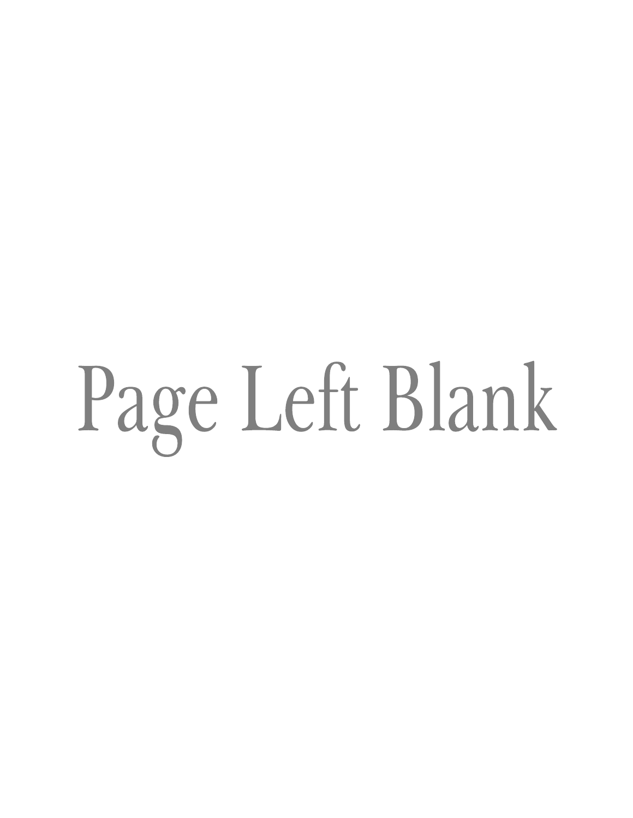# Page Left Blank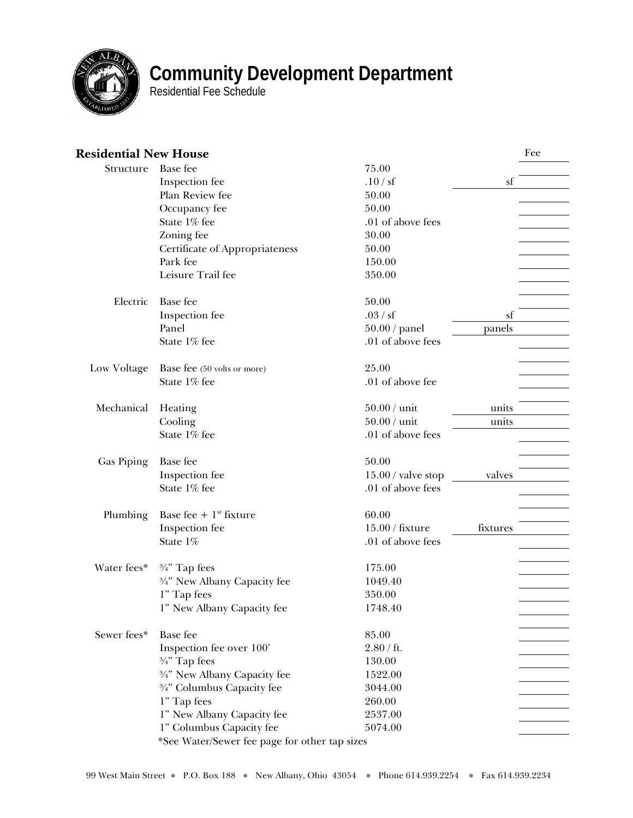

Residential Fee Schedule

| <b>Residential New House</b> |                                               |                      | Fee      |
|------------------------------|-----------------------------------------------|----------------------|----------|
| Structure                    | <b>Base</b> fee                               | 75.00                |          |
|                              | Inspection fee                                | .10 / sf             | sf       |
|                              | Plan Review fee                               | 50.00                |          |
|                              | Occupancy fee                                 | 50.00                |          |
|                              | State 1% fee                                  | .01 of above fees    |          |
|                              | Zoning fee                                    | 30.00                |          |
|                              | Certificate of Appropriateness                | 50.00                |          |
|                              | Park fee                                      | 150.00               |          |
|                              | Leisure Trail fee                             | 350.00               |          |
| Electric                     | Base fee                                      | 50.00                |          |
|                              | Inspection fee                                | .03 / sf             | sf       |
|                              | Panel                                         | $50.00/$ panel       | panels   |
|                              | State 1% fee                                  | .01 of above fees    |          |
| Low Voltage                  | Base fee (50 volts or more)                   | 25.00                |          |
|                              | State 1% fee                                  | .01 of above fee     |          |
| Mechanical                   | Heating                                       | $50.00/$ unit        | units    |
|                              | Cooling                                       | $50.00/$ unit        | units    |
|                              | State 1% fee                                  | .01 of above fees    |          |
| Gas Piping                   | Base fee                                      | 50.00                |          |
|                              | Inspection fee                                | $15.00 /$ valve stop | valves   |
|                              | State 1% fee                                  | .01 of above fees    |          |
| Plumbing                     | Base fee $+1$ <sup>st</sup> fixture           | 60.00                |          |
|                              | Inspection fee                                | $15.00/$ fixture     | fixtures |
|                              | State 1%                                      | .01 of above fees    |          |
| Water fees*                  | 3/ <sub>4</sub> " Tap fees                    | 175.00               |          |
|                              | 3/4" New Albany Capacity fee                  | 1049.40              |          |
|                              | 1" Tap fees                                   | 350.00               |          |
|                              | 1" New Albany Capacity fee                    | 1748.40              |          |
| Sewer fees*                  | <b>Base</b> fee                               | 85.00                |          |
|                              | Inspection fee over 100'                      | $2.80 /$ ft.         |          |
|                              | 3/ <sub>4</sub> " Tap fees                    | 130.00               |          |
|                              | 3/4" New Albany Capacity fee                  | 1522.00              |          |
|                              | 3/4" Columbus Capacity fee                    | 3044.00              |          |
|                              | 1" Tap fees                                   | 260.00               |          |
|                              | 1" New Albany Capacity fee                    | 2537.00              |          |
|                              | 1" Columbus Capacity fee                      | 5074.00              |          |
|                              | *See Water/Sewer fee page for other tap sizes |                      |          |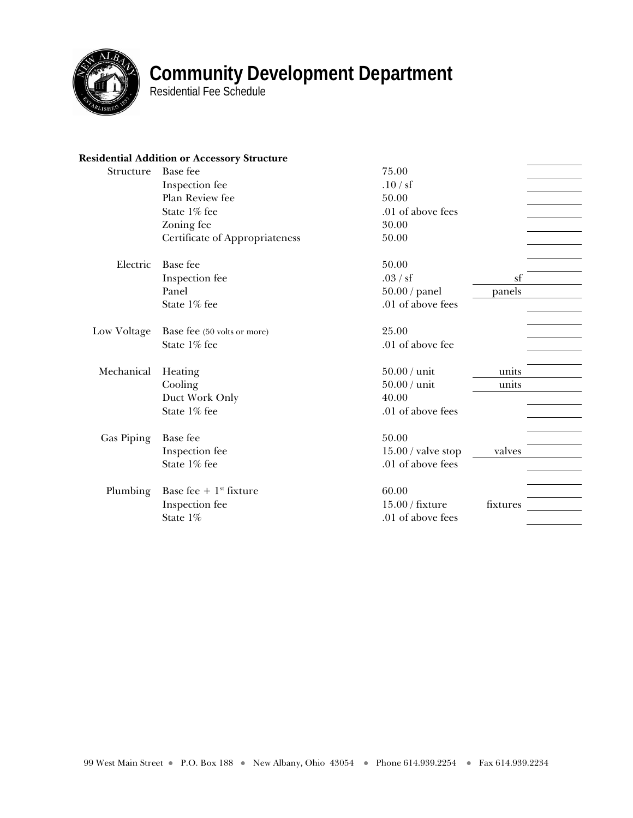

Residential Fee Schedule

|             | <b>Residential Addition or Accessory Structure</b> |                     |          |  |
|-------------|----------------------------------------------------|---------------------|----------|--|
| Structure   | Base fee                                           | 75.00               |          |  |
|             | Inspection fee                                     | .10 / sf            |          |  |
|             | Plan Review fee                                    | 50.00               |          |  |
|             | State 1% fee                                       | .01 of above fees   |          |  |
|             | Zoning fee                                         | 30.00               |          |  |
|             | Certificate of Appropriateness                     | 50.00               |          |  |
| Electric    | Base fee                                           | 50.00               |          |  |
|             | Inspection fee                                     | .03 / sf            | sf       |  |
|             | Panel                                              | 50.00 / panel       | panels   |  |
|             | State 1% fee                                       | .01 of above fees   |          |  |
| Low Voltage | Base fee (50 volts or more)                        | 25.00               |          |  |
|             | State 1% fee                                       | .01 of above fee    |          |  |
| Mechanical  | Heating                                            | $50.00/$ unit       | units    |  |
|             | Cooling                                            | $50.00/$ unit       | units    |  |
|             | Duct Work Only                                     | 40.00               |          |  |
|             | State 1% fee                                       | .01 of above fees   |          |  |
| Gas Piping  | Base fee                                           | 50.00               |          |  |
|             | Inspection fee                                     | $15.00/$ valve stop | valves   |  |
|             | State 1% fee                                       | .01 of above fees   |          |  |
| Plumbing    | Base fee $+1$ <sup>st</sup> fixture                | 60.00               |          |  |
|             | Inspection fee                                     | $15.00/$ fixture    | fixtures |  |
|             | State 1%                                           | .01 of above fees   |          |  |
|             |                                                    |                     |          |  |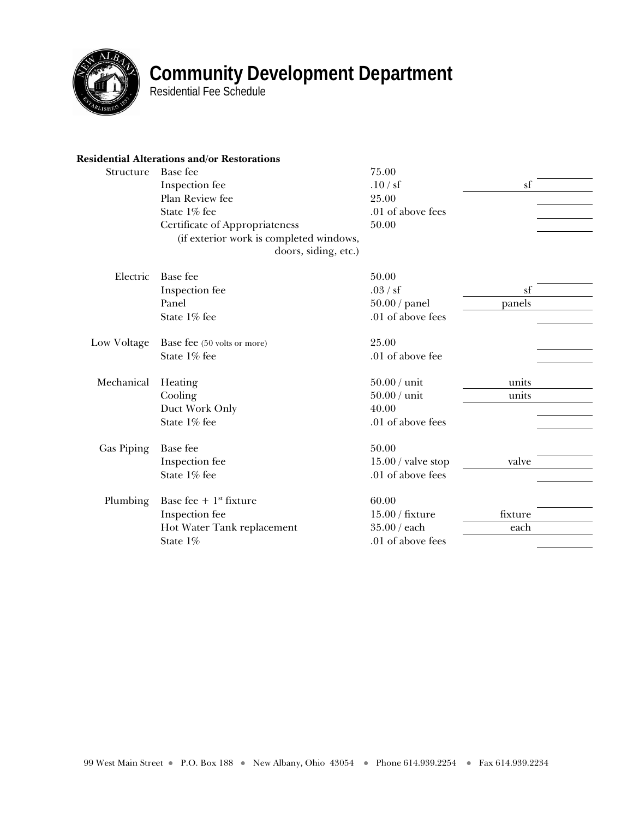

Residential Fee Schedule

|             | <b>Residential Alterations and/or Restorations</b>                                                |                      |         |  |
|-------------|---------------------------------------------------------------------------------------------------|----------------------|---------|--|
| Structure   | <b>Base</b> fee                                                                                   | 75.00                |         |  |
|             | Inspection fee                                                                                    | .10 / sf             | sf      |  |
|             | Plan Review fee                                                                                   | 25.00                |         |  |
|             | State 1% fee                                                                                      | .01 of above fees    |         |  |
|             | Certificate of Appropriateness<br>(if exterior work is completed windows,<br>doors, siding, etc.) | 50.00                |         |  |
| Electric    | <b>Base</b> fee                                                                                   | 50.00                |         |  |
|             | Inspection fee                                                                                    | .03 / $sf$           | sf      |  |
|             | Panel                                                                                             | $50.00/$ panel       | panels  |  |
|             | State 1% fee                                                                                      | .01 of above fees    |         |  |
| Low Voltage | Base fee (50 volts or more)                                                                       | 25.00                |         |  |
|             | State 1% fee                                                                                      | .01 of above fee     |         |  |
| Mechanical  | Heating                                                                                           | $50.00 /$ unit       | units   |  |
|             | Cooling                                                                                           | 50.00 / unit         | units   |  |
|             | Duct Work Only                                                                                    | 40.00                |         |  |
|             | State 1% fee                                                                                      | .01 of above fees    |         |  |
| Gas Piping  | Base fee                                                                                          | 50.00                |         |  |
|             | Inspection fee                                                                                    | $15.00 /$ valve stop | valve   |  |
|             | State 1% fee                                                                                      | .01 of above fees    |         |  |
| Plumbing    | Base fee $+1$ <sup>st</sup> fixture                                                               | 60.00                |         |  |
|             | Inspection fee                                                                                    | $15.00/$ fixture     | fixture |  |
|             | Hot Water Tank replacement                                                                        | 35.00 / each         | each    |  |
|             | State 1%                                                                                          | .01 of above fees    |         |  |
|             |                                                                                                   |                      |         |  |